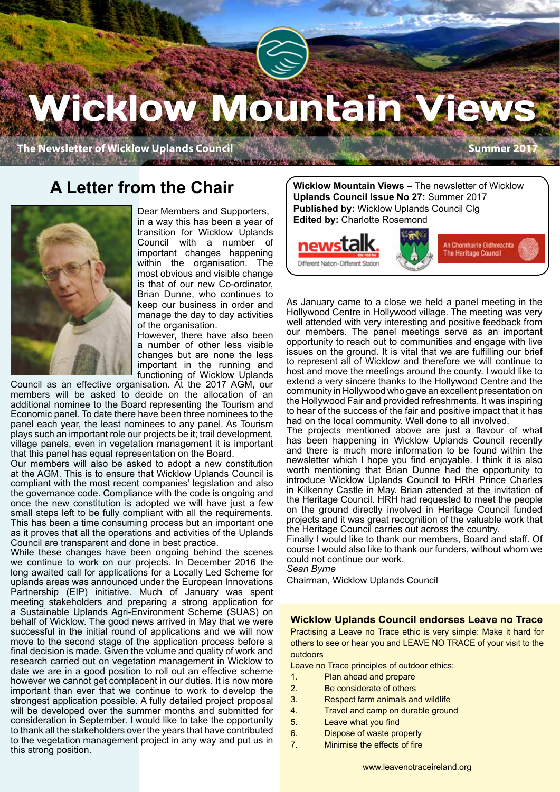# Wicklow Mountain V

**The Newsletter of Wicklow Uplands Council <b>Summer 2017** Summer 2017

## **A Letter from the Chair**



Dear Members and Supporters, in a way this has been a year of transition for Wicklow Uplands Council with a number of important changes happening within the organisation. The most obvious and visible change is that of our new Co-ordinator, Brian Dunne, who continues to keep our business in order and manage the day to day activities of the organisation.

However, there have also been a number of other less visible changes but are none the less important in the running and functioning of Wicklow Uplands

Council as an effective organisation. At the 2017 AGM, our members will be asked to decide on the allocation of an additional nominee to the Board representing the Tourism and Economic panel. To date there have been three nominees to the panel each year, the least nominees to any panel. As Tourism plays such an important role our projects be it; trail development, village panels, even in vegetation management it is important that this panel has equal representation on the Board.

Our members will also be asked to adopt a new constitution at the AGM. This is to ensure that Wicklow Uplands Council is compliant with the most recent companies' legislation and also the governance code. Compliance with the code is ongoing and once the new constitution is adopted we will have just a few small steps left to be fully compliant with all the requirements. This has been a time consuming process but an important one as it proves that all the operations and activities of the Uplands Council are transparent and done in best practice.

While these changes have been ongoing behind the scenes we continue to work on our projects. In December 2016 the long awaited call for applications for a Locally Led Scheme for uplands areas was announced under the European Innovations Partnership (EIP) initiative. Much of January was spent meeting stakeholders and preparing a strong application for a Sustainable Uplands Agri-Environment Scheme (SUAS) on behalf of Wicklow. The good news arrived in May that we were successful in the initial round of applications and we will now move to the second stage of the application process before a final decision is made. Given the volume and quality of work and research carried out on vegetation management in Wicklow to date we are in a good position to roll out an effective scheme however we cannot get complacent in our duties. It is now more important than ever that we continue to work to develop the strongest application possible. A fully detailed project proposal will be developed over the summer months and submitted for consideration in September. I would like to take the opportunity to thank all the stakeholders over the years that have contributed to the vegetation management project in any way and put us in this strong position.

**Wicklow Mountain Views –** The newsletter of Wicklow **Uplands Council Issue No 27:** Summer 2017 **Published by:** Wicklow Uplands Council Clg **Edited by:** Charlotte Rosemond



As January came to a close we held a panel meeting in the Hollywood Centre in Hollywood village. The meeting was very well attended with very interesting and positive feedback from our members. The panel meetings serve as an important opportunity to reach out to communities and engage with live issues on the ground. It is vital that we are fulfilling our brief to represent all of Wicklow and therefore we will continue to host and move the meetings around the county. I would like to extend a very sincere thanks to the Hollywood Centre and the community in Hollywood who gave an excellent presentation on the Hollywood Fair and provided refreshments. It was inspiring to hear of the success of the fair and positive impact that it has had on the local community. Well done to all involved.

The projects mentioned above are just a flavour of what has been happening in Wicklow Uplands Council recently and there is much more information to be found within the newsletter which I hope you find enjoyable. I think it is also worth mentioning that Brian Dunne had the opportunity to introduce Wicklow Uplands Council to HRH Prince Charles in Kilkenny Castle in May. Brian attended at the invitation of the Heritage Council. HRH had requested to meet the people on the ground directly involved in Heritage Council funded projects and it was great recognition of the valuable work that the Heritage Council carries out across the country.

Finally I would like to thank our members, Board and staff. Of course I would also like to thank our funders, without whom we could not continue our work.

*Sean Byrne*

Chairman, Wicklow Uplands Council

#### **Wicklow Uplands Council endorses Leave no Trace**

Practising a Leave no Trace ethic is very simple: Make it hard for others to see or hear you and LEAVE NO TRACE of your visit to the outdoors

Leave no Trace principles of outdoor ethics:

- 1. Plan ahead and prepare
- 2. Be considerate of others
- 3. Respect farm animals and wildlife
- 4. Travel and camp on durable ground
- 5. Leave what you find
- 6. Dispose of waste properly
- 7. Minimise the effects of fire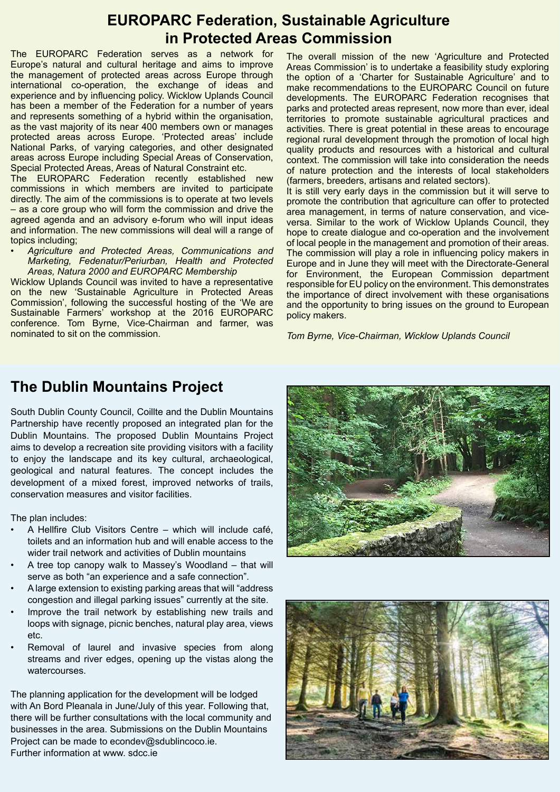## **EUROPARC Federation, Sustainable Agriculture in Protected Areas Commission**

The EUROPARC Federation serves as a network for Europe's natural and cultural heritage and aims to improve the management of protected areas across Europe through international co-operation, the exchange of ideas and experience and by influencing policy. Wicklow Uplands Council has been a member of the Federation for a number of years and represents something of a hybrid within the organisation, as the vast majority of its near 400 members own or manages protected areas across Europe. 'Protected areas' include National Parks, of varying categories, and other designated areas across Europe including Special Areas of Conservation, Special Protected Areas, Areas of Natural Constraint etc.

The EUROPARC Federation recently established new commissions in which members are invited to participate directly. The aim of the commissions is to operate at two levels – as a core group who will form the commission and drive the agreed agenda and an advisory e-forum who will input ideas and information. The new commissions will deal will a range of topics including;

*• Agriculture and Protected Areas, Communications and Marketing, Fedenatur/Periurban, Health and Protected Areas, Natura 2000 and EUROPARC Membership*

Wicklow Uplands Council was invited to have a representative on the new 'Sustainable Agriculture in Protected Areas Commission', following the successful hosting of the 'We are Sustainable Farmers' workshop at the 2016 EUROPARC conference. Tom Byrne, Vice-Chairman and farmer, was nominated to sit on the commission.

The overall mission of the new 'Agriculture and Protected Areas Commission' is to undertake a feasibility study exploring the option of a 'Charter for Sustainable Agriculture' and to make recommendations to the EUROPARC Council on future developments. The EUROPARC Federation recognises that parks and protected areas represent, now more than ever, ideal territories to promote sustainable agricultural practices and activities. There is great potential in these areas to encourage regional rural development through the promotion of local high quality products and resources with a historical and cultural context. The commission will take into consideration the needs of nature protection and the interests of local stakeholders (farmers, breeders, artisans and related sectors).

It is still very early days in the commission but it will serve to promote the contribution that agriculture can offer to protected area management, in terms of nature conservation, and viceversa. Similar to the work of Wicklow Uplands Council, they hope to create dialogue and co-operation and the involvement of local people in the management and promotion of their areas. The commission will play a role in influencing policy makers in Europe and in June they will meet with the Directorate-General for Environment, the European Commission department responsible for EU policy on the environment. This demonstrates the importance of direct involvement with these organisations and the opportunity to bring issues on the ground to European policy makers.

*Tom Byrne, Vice-Chairman, Wicklow Uplands Council*

## **The Dublin Mountains Project**

South Dublin County Council, Coillte and the Dublin Mountains Partnership have recently proposed an integrated plan for the Dublin Mountains. The proposed Dublin Mountains Project aims to develop a recreation site providing visitors with a facility to enjoy the landscape and its key cultural, archaeological, geological and natural features. The concept includes the development of a mixed forest, improved networks of trails, conservation measures and visitor facilities.

The plan includes:

- A Hellfire Club Visitors Centre which will include café, toilets and an information hub and will enable access to the wider trail network and activities of Dublin mountains
- A tree top canopy walk to Massey's Woodland that will serve as both "an experience and a safe connection".
- A large extension to existing parking areas that will "address congestion and illegal parking issues" currently at the site.
- Improve the trail network by establishing new trails and loops with signage, picnic benches, natural play area, views etc.
- Removal of laurel and invasive species from along streams and river edges, opening up the vistas along the watercourses.

The planning application for the development will be lodged with An Bord Pleanala in June/July of this year. Following that, there will be further consultations with the local community and businesses in the area. Submissions on the Dublin Mountains Project can be made to econdev@sdublincoco.ie. Further information at www. sdcc.ie



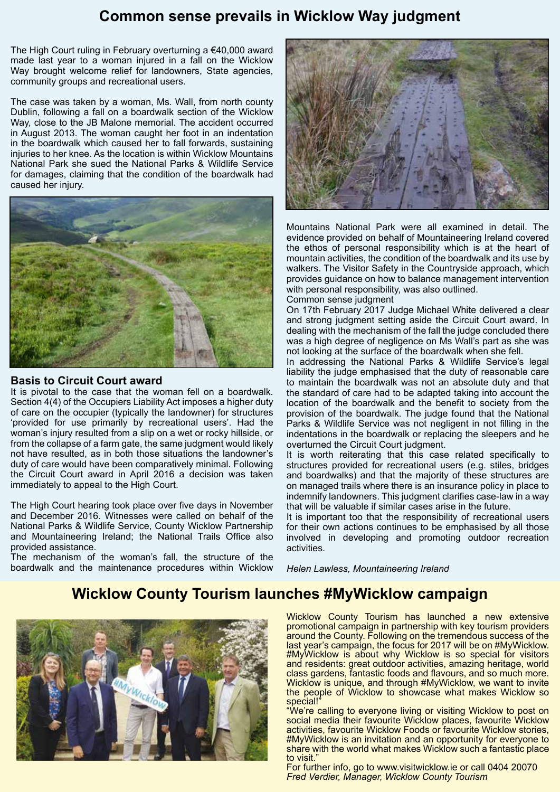## **Common sense prevails in Wicklow Way judgment**

The High Court ruling in February overturning a €40,000 award made last year to a woman injured in a fall on the Wicklow Way brought welcome relief for landowners, State agencies, community groups and recreational users.

The case was taken by a woman, Ms. Wall, from north county Dublin, following a fall on a boardwalk section of the Wicklow Way, close to the JB Malone memorial. The accident occurred in August 2013. The woman caught her foot in an indentation in the boardwalk which caused her to fall forwards, sustaining injuries to her knee. As the location is within Wicklow Mountains National Park she sued the National Parks & Wildlife Service for damages, claiming that the condition of the boardwalk had caused her injury.



#### **Basis to Circuit Court award**

It is pivotal to the case that the woman fell on a boardwalk. Section 4(4) of the Occupiers Liability Act imposes a higher duty of care on the occupier (typically the landowner) for structures 'provided for use primarily by recreational users'. Had the woman's injury resulted from a slip on a wet or rocky hillside, or from the collapse of a farm gate, the same judgment would likely not have resulted, as in both those situations the landowner's duty of care would have been comparatively minimal. Following the Circuit Court award in April 2016 a decision was taken immediately to appeal to the High Court.

The High Court hearing took place over five days in November and December 2016. Witnesses were called on behalf of the National Parks & Wildlife Service, County Wicklow Partnership and Mountaineering Ireland; the National Trails Office also provided assistance.

The mechanism of the woman's fall, the structure of the boardwalk and the maintenance procedures within Wicklow



Mountains National Park were all examined in detail. The evidence provided on behalf of Mountaineering Ireland covered the ethos of personal responsibility which is at the heart of mountain activities, the condition of the boardwalk and its use by walkers. The Visitor Safety in the Countryside approach, which provides guidance on how to balance management intervention with personal responsibility, was also outlined.

Common sense judgment

On 17th February 2017 Judge Michael White delivered a clear and strong judgment setting aside the Circuit Court award. In dealing with the mechanism of the fall the judge concluded there was a high degree of negligence on Ms Wall's part as she was not looking at the surface of the boardwalk when she fell.

In addressing the National Parks & Wildlife Service's legal liability the judge emphasised that the duty of reasonable care to maintain the boardwalk was not an absolute duty and that the standard of care had to be adapted taking into account the location of the boardwalk and the benefit to society from the provision of the boardwalk. The judge found that the National Parks & Wildlife Service was not negligent in not filling in the indentations in the boardwalk or replacing the sleepers and he overturned the Circuit Court judgment.

It is worth reiterating that this case related specifically to structures provided for recreational users (e.g. stiles, bridges and boardwalks) and that the majority of these structures are on managed trails where there is an insurance policy in place to indemnify landowners. This judgment clarifies case-law in a way that will be valuable if similar cases arise in the future.

It is important too that the responsibility of recreational users for their own actions continues to be emphasised by all those involved in developing and promoting outdoor recreation activities.

*Helen Lawless, Mountaineering Ireland*

## **Wicklow County Tourism launches #MyWicklow campaign**



Wicklow County Tourism has launched a new extensive promotional campaign in partnership with key tourism providers around the County. Following on the tremendous success of the last year's campaign, the focus for 2017 will be on #MyWicklow. #MyWicklow is about why Wicklow is so special for visitors and residents: great outdoor activities, amazing heritage, world class gardens, fantastic foods and flavours, and so much more. Wicklow is unique, and through #MyWicklow, we want to invite the people of Wicklow to showcase what makes Wicklow so special!

"We're calling to everyone living or visiting Wicklow to post on social media their favourite Wicklow places, favourite Wicklow activities, favourite Wicklow Foods or favourite Wicklow stories, #MyWicklow is an invitation and an opportunity for everyone to share with the world what makes Wicklow such a fantastic place to visit.

For further info, go to www.visitwicklow.ie or call 0404 20070 *Fred Verdier, Manager, Wicklow County Tourism*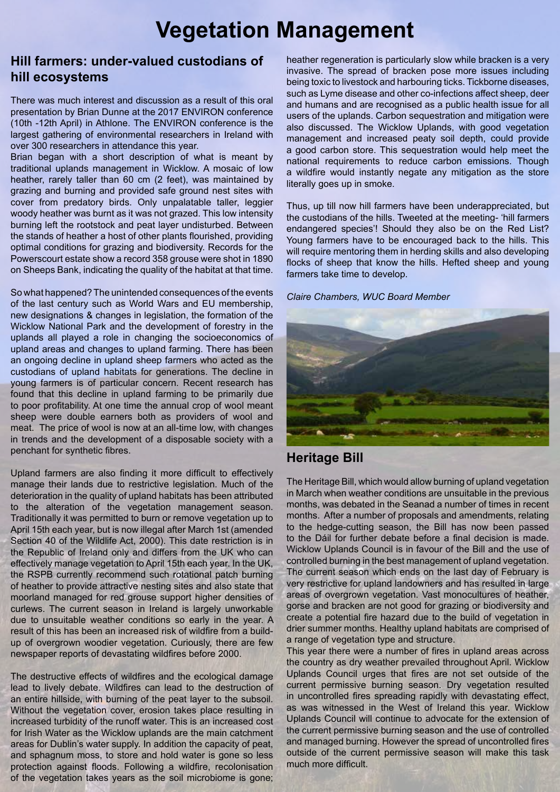## **Vegetation Management**

## **Hill farmers: under-valued custodians of hill ecosystems**

There was much interest and discussion as a result of this oral presentation by Brian Dunne at the 2017 ENVIRON conference (10th -12th April) in Athlone. The ENVIRON conference is the largest gathering of environmental researchers in Ireland with over 300 researchers in attendance this year.

Brian began with a short description of what is meant by traditional uplands management in Wicklow. A mosaic of low heather, rarely taller than 60 cm (2 feet), was maintained by grazing and burning and provided safe ground nest sites with cover from predatory birds. Only unpalatable taller, leggier woody heather was burnt as it was not grazed. This low intensity burning left the rootstock and peat layer undisturbed. Between the stands of heather a host of other plants flourished, providing optimal conditions for grazing and biodiversity. Records for the Powerscourt estate show a record 358 grouse were shot in 1890 on Sheeps Bank, indicating the quality of the habitat at that time.

So what happened? The unintended consequences of the events of the last century such as World Wars and EU membership, new designations & changes in legislation, the formation of the Wicklow National Park and the development of forestry in the uplands all played a role in changing the socioeconomics of upland areas and changes to upland farming. There has been an ongoing decline in upland sheep farmers who acted as the custodians of upland habitats for generations. The decline in young farmers is of particular concern. Recent research has found that this decline in upland farming to be primarily due to poor profitability. At one time the annual crop of wool meant sheep were double earners both as providers of wool and meat. The price of wool is now at an all-time low, with changes in trends and the development of a disposable society with a penchant for synthetic fibres.

Upland farmers are also finding it more difficult to effectively manage their lands due to restrictive legislation. Much of the deterioration in the quality of upland habitats has been attributed to the alteration of the vegetation management season. Traditionally it was permitted to burn or remove vegetation up to April 15th each year, but is now illegal after March 1st (amended Section 40 of the Wildlife Act, 2000). This date restriction is in the Republic of Ireland only and differs from the UK who can effectively manage vegetation to April 15th each year. In the UK, the RSPB currently recommend such rotational patch burning of heather to provide attractive nesting sites and also state that moorland managed for red grouse support higher densities of curlews. The current season in Ireland is largely unworkable due to unsuitable weather conditions so early in the year. A result of this has been an increased risk of wildfire from a buildup of overgrown woodier vegetation. Curiously, there are few newspaper reports of devastating wildfires before 2000.

The destructive effects of wildfires and the ecological damage lead to lively debate. Wildfires can lead to the destruction of an entire hillside, with burning of the peat layer to the subsoil. Without the vegetation cover, erosion takes place resulting in increased turbidity of the runoff water. This is an increased cost for Irish Water as the Wicklow uplands are the main catchment areas for Dublin's water supply. In addition the capacity of peat, and sphagnum moss, to store and hold water is gone so less protection against floods. Following a wildfire, recolonisation of the vegetation takes years as the soil microbiome is gone;

heather regeneration is particularly slow while bracken is a very invasive. The spread of bracken pose more issues including being toxic to livestock and harbouring ticks. Tickborne diseases, such as Lyme disease and other co-infections affect sheep, deer and humans and are recognised as a public health issue for all users of the uplands. Carbon sequestration and mitigation were also discussed. The Wicklow Uplands, with good vegetation management and increased peaty soil depth, could provide a good carbon store. This sequestration would help meet the national requirements to reduce carbon emissions. Though a wildfire would instantly negate any mitigation as the store literally goes up in smoke.

Thus, up till now hill farmers have been underappreciated, but the custodians of the hills. Tweeted at the meeting- 'hill farmers endangered species'! Should they also be on the Red List? Young farmers have to be encouraged back to the hills. This will require mentoring them in herding skills and also developing flocks of sheep that know the hills. Hefted sheep and young farmers take time to develop.

*Claire Chambers, WUC Board Member*



## **Heritage Bill**

The Heritage Bill, which would allow burning of upland vegetation in March when weather conditions are unsuitable in the previous months, was debated in the Seanad a number of times in recent months. After a number of proposals and amendments, relating to the hedge-cutting season, the Bill has now been passed to the Dáil for further debate before a final decision is made. Wicklow Uplands Council is in favour of the Bill and the use of controlled burning in the best management of upland vegetation. The current season which ends on the last day of February is very restrictive for upland landowners and has resulted in large areas of overgrown vegetation. Vast monocultures of heather, gorse and bracken are not good for grazing or biodiversity and create a potential fire hazard due to the build of vegetation in drier summer months. Healthy upland habitats are comprised of a range of vegetation type and structure.

This year there were a number of fires in upland areas across the country as dry weather prevailed throughout April. Wicklow Uplands Council urges that fires are not set outside of the current permissive burning season. Dry vegetation resulted in uncontrolled fires spreading rapidly with devastating effect, as was witnessed in the West of Ireland this year. Wicklow Uplands Council will continue to advocate for the extension of the current permissive burning season and the use of controlled and managed burning. However the spread of uncontrolled fires outside of the current permissive season will make this task much more difficult.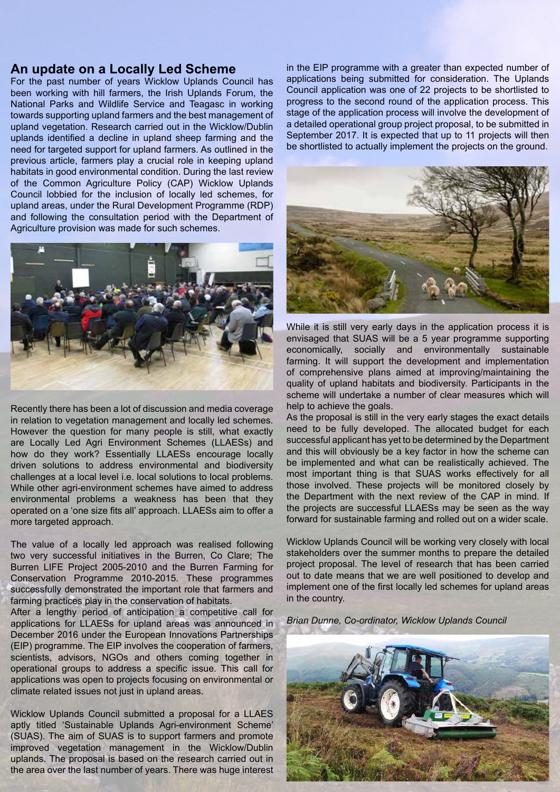#### **An update on a Locally Led Scheme**

For the past number of years Wicklow Uplands Council has been working with hill farmers, the Irish Uplands Forum, the National Parks and Wildlife Service and Teagasc in working towards supporting upland farmers and the best management of upland vegetation. Research carried out in the Wicklow/Dublin uplands identified a decline in upland sheep farming and the need for targeted support for upland farmers. As outlined in the previous article, farmers play a crucial role in keeping upland habitats in good environmental condition. During the last review of the Common Agriculture Policy (CAP) Wicklow Uplands Council lobbied for the inclusion of locally led schemes, for upland areas, under the Rural Development Programme (RDP) and following the consultation period with the Department of Agriculture provision was made for such schemes.



Recently there has been a lot of discussion and media coverage in relation to vegetation management and locally led schemes. However the question for many people is still, what exactly are Locally Led Agri Environment Schemes (LLAESs) and how do they work? Essentially LLAESs encourage locally driven solutions to address environmental and biodiversity challenges at a local level i.e. local solutions to local problems. While other agri-environment schemes have aimed to address environmental problems a weakness has been that they operated on a 'one size fits all' approach. LLAESs aim to offer a more targeted approach.

The value of a locally led approach was realised following two very successful initiatives in the Burren, Co Clare; The Burren LIFE Project 2005-2010 and the Burren Farming for Conservation Programme 2010-2015. These programmes successfully demonstrated the important role that farmers and farming practices play in the conservation of habitats.

After a lengthy period of anticipation a competitive call for applications for LLAESs for upland areas was announced in December 2016 under the European Innovations Partnerships (EIP) programme. The EIP involves the cooperation of farmers, scientists, advisors, NGOs and others coming together in operational groups to address a specific issue. This call for applications was open to projects focusing on environmental or climate related issues not just in upland areas.

Wicklow Uplands Council submitted a proposal for a LLAES aptly titled 'Sustainable Uplands Agri-environment Scheme' (SUAS). The aim of SUAS is to support farmers and promote improved vegetation management in the Wicklow/Dublin uplands. The proposal is based on the research carried out in the area over the last number of years. There was huge interest

in the EIP programme with a greater than expected number of applications being submitted for consideration. The Uplands Council application was one of 22 projects to be shortlisted to progress to the second round of the application process. This stage of the application process will involve the development of a detailed operational group project proposal, to be submitted in September 2017. It is expected that up to 11 projects will then be shortlisted to actually implement the projects on the ground.



While it is still very early days in the application process it is envisaged that SUAS will be a 5 year programme supporting economically, socially and environmentally sustainable farming. It will support the development and implementation of comprehensive plans aimed at improving/maintaining the quality of upland habitats and biodiversity. Participants in the scheme will undertake a number of clear measures which will help to achieve the goals.

As the proposal is still in the very early stages the exact details need to be fully developed. The allocated budget for each successful applicant has yet to be determined by the Department and this will obviously be a key factor in how the scheme can be implemented and what can be realistically achieved. The most important thing is that SUAS works effectively for all those involved. These projects will be monitored closely by the Department with the next review of the CAP in mind. If the projects are successful LLAESs may be seen as the way forward for sustainable farming and rolled out on a wider scale.

Wicklow Uplands Council will be working very closely with local stakeholders over the summer months to prepare the detailed project proposal. The level of research that has been carried out to date means that we are well positioned to develop and implement one of the first locally led schemes for upland areas in the country.

*Brian Dunne, Co-ordinator, Wicklow Uplands Council*

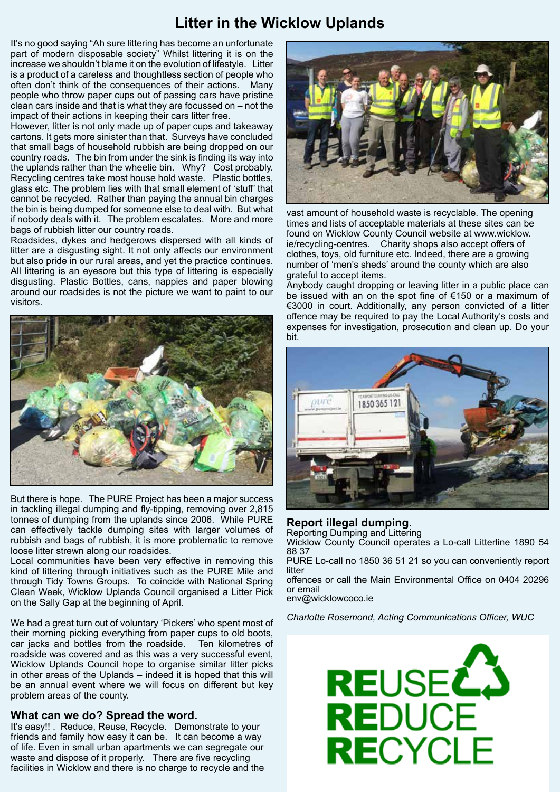## **Litter in the Wicklow Uplands**

It's no good saying "Ah sure littering has become an unfortunate part of modern disposable society" Whilst littering it is on the increase we shouldn't blame it on the evolution of lifestyle. Litter is a product of a careless and thoughtless section of people who often don't think of the consequences of their actions. Many people who throw paper cups out of passing cars have pristine clean cars inside and that is what they are focussed on – not the impact of their actions in keeping their cars litter free.

However, litter is not only made up of paper cups and takeaway cartons. It gets more sinister than that. Surveys have concluded that small bags of household rubbish are being dropped on our country roads. The bin from under the sink is finding its way into the uplands rather than the wheelie bin. Why? Cost probably. Recycling centres take most house hold waste. Plastic bottles, glass etc. The problem lies with that small element of 'stuff' that cannot be recycled. Rather than paying the annual bin charges the bin is being dumped for someone else to deal with. But what if nobody deals with it. The problem escalates. More and more bags of rubbish litter our country roads.

Roadsides, dykes and hedgerows dispersed with all kinds of litter are a disgusting sight. It not only affects our environment but also pride in our rural areas, and yet the practice continues. All littering is an eyesore but this type of littering is especially disgusting. Plastic Bottles, cans, nappies and paper blowing around our roadsides is not the picture we want to paint to our visitors.



But there is hope. The PURE Project has been a major success in tackling illegal dumping and fly-tipping, removing over 2,815 tonnes of dumping from the uplands since 2006. While PURE can effectively tackle dumping sites with larger volumes of rubbish and bags of rubbish, it is more problematic to remove loose litter strewn along our roadsides.

Local communities have been very effective in removing this kind of littering through initiatives such as the PURE Mile and through Tidy Towns Groups. To coincide with National Spring Clean Week, Wicklow Uplands Council organised a Litter Pick on the Sally Gap at the beginning of April.

We had a great turn out of voluntary 'Pickers' who spent most of their morning picking everything from paper cups to old boots, car jacks and bottles from the roadside. Ten kilometres of roadside was covered and as this was a very successful event, Wicklow Uplands Council hope to organise similar litter picks in other areas of the Uplands – indeed it is hoped that this will be an annual event where we will focus on different but key problem areas of the county.

#### **What can we do? Spread the word.**

It's easy!! . Reduce, Reuse, Recycle. Demonstrate to your friends and family how easy it can be. It can become a way of life. Even in small urban apartments we can segregate our waste and dispose of it properly. There are five recycling facilities in Wicklow and there is no charge to recycle and the



vast amount of household waste is recyclable. The opening times and lists of acceptable materials at these sites can be found on Wicklow County Council website at www.wicklow. ie/recycling-centres. Charity shops also accept offers of clothes, toys, old furniture etc. Indeed, there are a growing number of 'men's sheds' around the county which are also grateful to accept items.

Anybody caught dropping or leaving litter in a public place can be issued with an on the spot fine of €150 or a maximum of €3000 in court. Additionally, any person convicted of a litter offence may be required to pay the Local Authority's costs and expenses for investigation, prosecution and clean up. Do your bit.



#### **Report illegal dumping.**

Reporting Dumping and Littering Wicklow County Council operates a Lo-call Litterline 1890 54 88 37

PURE Lo-call no 1850 36 51 21 so you can conveniently report litter

offences or call the Main Environmental Office on 0404 20296 or email

env@wicklowcoco.ie

*Charlotte Rosemond, Acting Communications Officer, WUC*

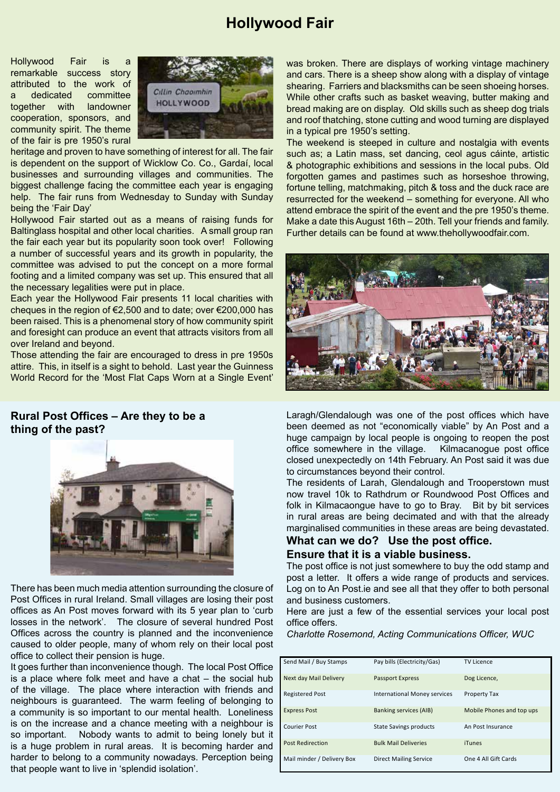## **Hollywood Fair**

Hollywood Fair is a remarkable success story attributed to the work of a dedicated committee together with landowner cooperation, sponsors, and community spirit. The theme of the fair is pre 1950's rural



heritage and proven to have something of interest for all. The fair is dependent on the support of Wicklow Co. Co., Gardaí, local businesses and surrounding villages and communities. The biggest challenge facing the committee each year is engaging help. The fair runs from Wednesday to Sunday with Sunday being the 'Fair Day'

Hollywood Fair started out as a means of raising funds for Baltinglass hospital and other local charities. A small group ran the fair each year but its popularity soon took over! Following a number of successful years and its growth in popularity, the committee was advised to put the concept on a more formal footing and a limited company was set up. This ensured that all the necessary legalities were put in place.

Each year the Hollywood Fair presents 11 local charities with cheques in the region of €2,500 and to date; over €200,000 has been raised. This is a phenomenal story of how community spirit and foresight can produce an event that attracts visitors from all over Ireland and beyond.

Those attending the fair are encouraged to dress in pre 1950s attire. This, in itself is a sight to behold. Last year the Guinness World Record for the 'Most Flat Caps Worn at a Single Event'

**Rural Post Offices – Are they to be a thing of the past?**



There has been much media attention surrounding the closure of Post Offices in rural Ireland. Small villages are losing their post offices as An Post moves forward with its 5 year plan to 'curb losses in the network'. The closure of several hundred Post Offices across the country is planned and the inconvenience caused to older people, many of whom rely on their local post office to collect their pension is huge.

It goes further than inconvenience though. The local Post Office is a place where folk meet and have a chat – the social hub of the village. The place where interaction with friends and neighbours is guaranteed. The warm feeling of belonging to a community is so important to our mental health. Loneliness is on the increase and a chance meeting with a neighbour is so important. Nobody wants to admit to being lonely but it is a huge problem in rural areas. It is becoming harder and harder to belong to a community nowadays. Perception being that people want to live in 'splendid isolation'.

was broken. There are displays of working vintage machinery and cars. There is a sheep show along with a display of vintage shearing. Farriers and blacksmiths can be seen shoeing horses. While other crafts such as basket weaving, butter making and bread making are on display. Old skills such as sheep dog trials and roof thatching, stone cutting and wood turning are displayed in a typical pre 1950's setting.

The weekend is steeped in culture and nostalgia with events such as; a Latin mass, set dancing, ceol agus cáinte, artistic & photographic exhibitions and sessions in the local pubs. Old forgotten games and pastimes such as horseshoe throwing, fortune telling, matchmaking, pitch & toss and the duck race are resurrected for the weekend – something for everyone. All who attend embrace the spirit of the event and the pre 1950's theme. Make a date this August 16th – 20th. Tell your friends and family. Further details can be found at www.thehollywoodfair.com.



Laragh/Glendalough was one of the post offices which have been deemed as not "economically viable" by An Post and a huge campaign by local people is ongoing to reopen the post office somewhere in the village. Kilmacanogue post office closed unexpectedly on 14th February. An Post said it was due to circumstances beyond their control.

The residents of Larah, Glendalough and Trooperstown must now travel 10k to Rathdrum or Roundwood Post Offices and folk in Kilmacaongue have to go to Bray. Bit by bit services in rural areas are being decimated and with that the already marginalised communities in these areas are being devastated.

#### **What can we do? Use the post office. Ensure that it is a viable business.**

The post office is not just somewhere to buy the odd stamp and post a letter. It offers a wide range of products and services. Log on to An Post.ie and see all that they offer to both personal and business customers.

Here are just a few of the essential services your local post office offers.

*Charlotte Rosemond, Acting Communications Officer, WUC*

| Send Mail / Buy Stamps     | Pay bills (Electricity/Gas)   | <b>TV Licence</b>         |
|----------------------------|-------------------------------|---------------------------|
| Next day Mail Delivery     | <b>Passport Express</b>       | Dog Licence,              |
| <b>Registered Post</b>     | International Money services  | <b>Property Tax</b>       |
| <b>Express Post</b>        | <b>Banking services (AIB)</b> | Mobile Phones and top ups |
| <b>Courier Post</b>        | <b>State Savings products</b> | An Post Insurance         |
| <b>Post Redirection</b>    | <b>Bulk Mail Deliveries</b>   | <b>iTunes</b>             |
| Mail minder / Delivery Box | <b>Direct Mailing Service</b> | One 4 All Gift Cards      |